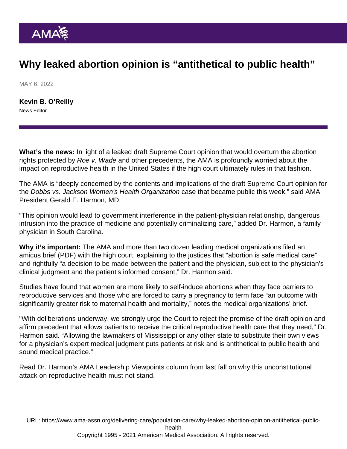## Why leaked abortion opinion is "antithetical to public health"

MAY 6, 2022

[Kevin B. O'Reilly](https://www.ama-assn.org/news-leadership-viewpoints/authors-news-leadership-viewpoints/kevin-b-oreilly) News Editor

What's the news: In light of a leaked draft Supreme Court opinion that would overturn the [abortion](https://www.ama-assn.org/delivering-care/ethics/abortion) rights protected by Roe v. Wade and other precedents, the AMA is profoundly worried about the impact on reproductive health in the United States if the high court ultimately rules in that fashion.

The AMA is "deeply concerned by the contents and implications of the draft Supreme Court opinion for the Dobbs vs. Jackson Women's Health Organization case that became public this week," said AMA President [Gerald E. Harmon, MD](https://www.ama-assn.org/about/board-trustees/gerald-e-harmon-md).

"This opinion would lead to government interference in the patient-physician relationship, dangerous intrusion into the practice of medicine and potentially criminalizing care," added Dr. Harmon, a family physician in South Carolina.

Why it's important: The AMA and more than two dozen leading medical organizations filed an [amicus brief](https://www.supremecourt.gov/DocketPDF/19/19-1392/193074/20210920174518042_19-1392 bsacACOGetal.pdf) (PDF) with the high court, explaining to the justices that "abortion is safe medical care" and rightfully "a decision to be made between the patient and the physician, subject to the physician's clinical judgment and the patient's informed consent," Dr. Harmon said.

Studies have found that women are more likely to self-induce abortions when they face barriers to reproductive services and those who are forced to carry a pregnancy to term face "an outcome with significantly greater risk to maternal health and mortality," notes the medical organizations' brief.

"With deliberations underway, we strongly urge the Court to reject the premise of the draft opinion and affirm precedent that allows patients to receive the critical reproductive health care that they need," Dr. Harmon said. "Allowing the lawmakers of Mississippi or any other state to substitute their own views for a physician's expert medical judgment puts patients at risk and is antithetical to public health and sound medical practice."

Read Dr. Harmon's AMA Leadership Viewpoints column from last fall on why this [unconstitutional](https://www.ama-assn.org/about/leadership/unconstitutional-attack-reproductive-health-must-not-stand) [attack on reproductive health must not stand](https://www.ama-assn.org/about/leadership/unconstitutional-attack-reproductive-health-must-not-stand).

URL: [https://www.ama-assn.org/delivering-care/population-care/why-leaked-abortion-opinion-antithetical-public](https://www.ama-assn.org/delivering-care/population-care/why-leaked-abortion-opinion-antithetical-public-health)[health](https://www.ama-assn.org/delivering-care/population-care/why-leaked-abortion-opinion-antithetical-public-health)

Copyright 1995 - 2021 American Medical Association. All rights reserved.